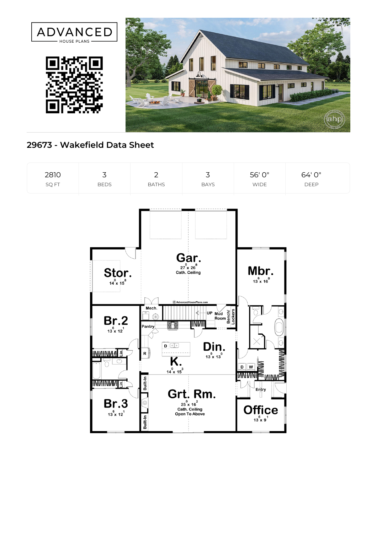

## **29673 - Wakefield Data Sheet**

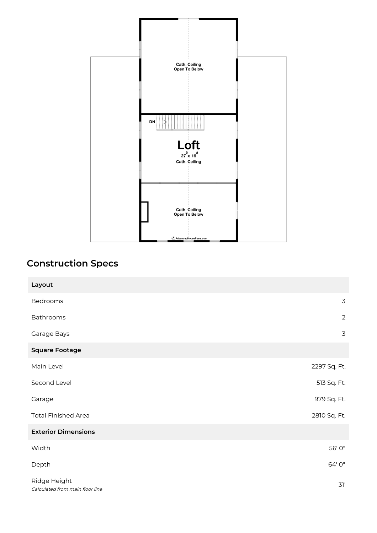

## **Construction Specs**

| Layout                                          |                |
|-------------------------------------------------|----------------|
| Bedrooms                                        | 3              |
| Bathrooms                                       | $\overline{2}$ |
| Garage Bays                                     | 3              |
| <b>Square Footage</b>                           |                |
| Main Level                                      | 2297 Sq. Ft.   |
| Second Level                                    | 513 Sq. Ft.    |
| Garage                                          | 979 Sq. Ft.    |
| <b>Total Finished Area</b>                      | 2810 Sq. Ft.   |
| <b>Exterior Dimensions</b>                      |                |
| Width                                           | 56' 0"         |
| Depth                                           | 64' 0"         |
| Ridge Height<br>Calculated from main floor line | 31'            |